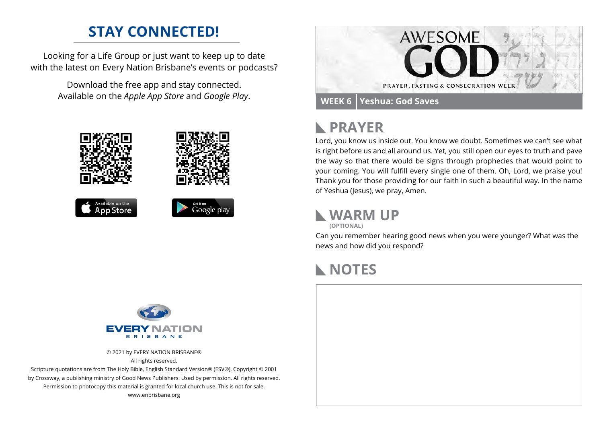## **STAY CONNECTED!**

Looking for a Life Group or just want to keep up to date with the latest on Every Nation Brisbane's events or podcasts?

> Download the free app and stay connected. Available on the *Apple App Store* and *Google Play*.





### **PRAYER**  $\mathbb{R}$

Lord, you know us inside out. You know we doubt. Sometimes we can't see what is right before us and all around us. Yet, you still open our eyes to truth and pave the way so that there would be signs through prophecies that would point to your coming. You will fulfill every single one of them. Oh, Lord, we praise you! Thank you for those providing for our faith in such a beautiful way. In the name of Yeshua (Jesus), we pray, Amen.

**WARM UP**

**(OPTIONAL)**

Can you remember hearing good news when you were younger? What was the news and how did you respond?

## **NOTES**



© 2021 by EVERY NATION BRISBANE® All rights reserved.

Scripture quotations are from The Holy Bible, English Standard Version® (ESV®), Copyright © 2001 by Crossway, a publishing ministry of Good News Publishers. Used by permission. All rights reserved. Permission to photocopy this material is granted for local church use. This is not for sale. www.enbrisbane.org